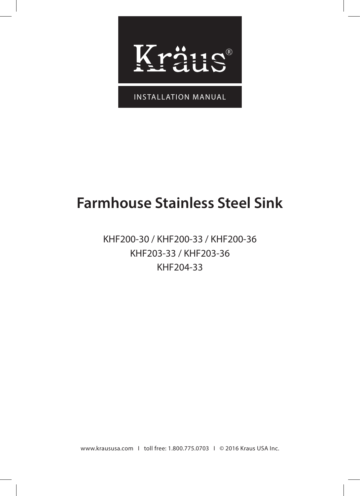

INSTALLATION MANUAL

# **Farmhouse Stainless Steel Sink**

# KHF200-30 / KHF200-33 / KHF200-36 KHF203-33 / KHF203-36 KHF204-33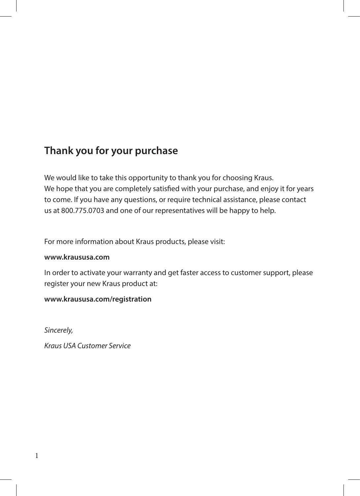# **Thank you for your purchase**

We would like to take this opportunity to thank you for choosing Kraus. We hope that you are completely satisfied with your purchase, and enjoy it for years to come. If you have any questions, or require technical assistance, please contact us at 800.775.0703 and one of our representatives will be happy to help.

For more information about Kraus products, please visit:

#### **www.kraususa.com**

In order to activate your warranty and get faster access to customer support, please register your new Kraus product at:

#### **www.kraususa.com/registration**

*Sincerely,*

*Kraus USA Customer Service*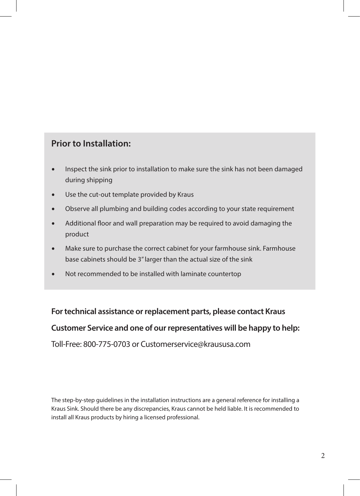### **Prior to Installation:**

- Inspect the sink prior to installation to make sure the sink has not been damaged during shipping
- Use the cut-out template provided by Kraus
- Observe all plumbing and building codes according to your state requirement
- Additional floor and wall preparation may be required to avoid damaging the product
- Make sure to purchase the correct cabinet for your farmhouse sink. Farmhouse base cabinets should be 3" larger than the actual size of the sink
- Not recommended to be installed with laminate countertop

# **For technical assistance or replacement parts, please contact Kraus**

#### **Customer Service and one of our representatives will be happy to help:**

Toll-Free: 800-775-0703 or Customerservice@kraususa.com

The step-by-step guidelines in the installation instructions are a general reference for installing a Kraus Sink. Should there be any discrepancies, Kraus cannot be held liable. It is recommended to install all Kraus products by hiring a licensed professional.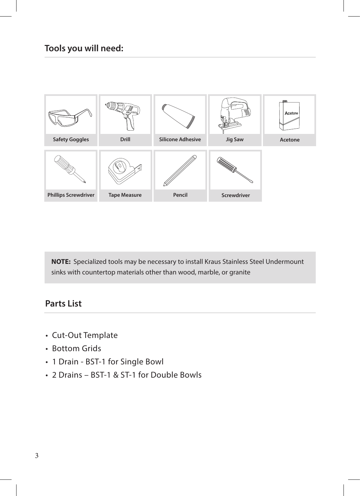

**NOTE:** Specialized tools may be necessary to install Kraus Stainless Steel Undermount sinks with countertop materials other than wood, marble, or granite

#### **Parts List**

- Cut-Out Template
- Bottom Grids
- 1 Drain BST-1 for Single Bowl
- 2 Drains BST-1 & ST-1 for Double Bowls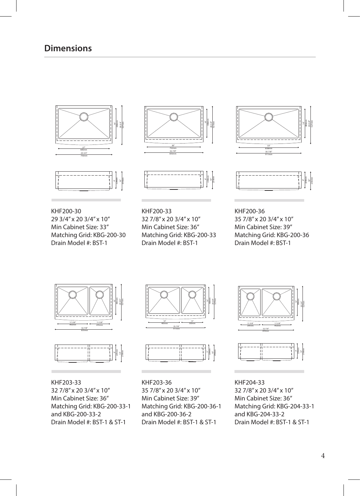



KHF200-30 29 3/4" x 20 3/4" x 10" Min Cabinet Size: 33" Matching Grid: KBG-200-30 Drain Model #: BST-1





KHF200-33 32 7/8" x 20 3/4" x 10" Min Cabinet Size: 36" Matching Grid: KBG-200-33 Drain Model #: BST-1





KHF200-36 35 7/8" x 20 3/4" x 10" Min Cabinet Size: 39" Matching Grid: KBG-200-36 Drain Model #: BST-1





KHF203-33 32 7/8" x 20 3/4" x 10" Min Cabinet Size: 36" Matching Grid: KBG-200-33-1 and KBG-200-33-2 Drain Model #: BST-1 & ST-1





KHF203-36 35 7/8" x 20 3/4" x 10" Min Cabinet Size: 39" Matching Grid: KBG-200-36-1 and KBG-200-36-2 Drain Model #: BST-1 & ST-1



KHF204-33 32 7/8" x 20 3/4" x 10" Min Cabinet Size: 36" Matching Grid: KBG-204-33-1 and KBG-204-33-2 Drain Model #: BST-1 & ST-1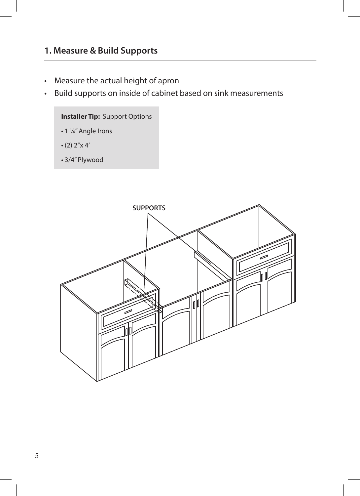#### **1. Measure & Build Supports**

- Measure the actual height of apron
- Build supports on inside of cabinet based on sink measurements

#### **Installer Tip:** Support Options

- 1 ¼" Angle Irons
- $\cdot$  (2) 2"x 4"
- 3/4" Plywood

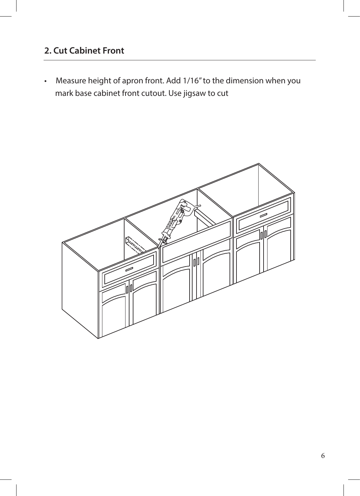# **2. Cut Cabinet Front**

• Measure height of apron front. Add 1/16" to the dimension when you mark base cabinet front cutout. Use jigsaw to cut

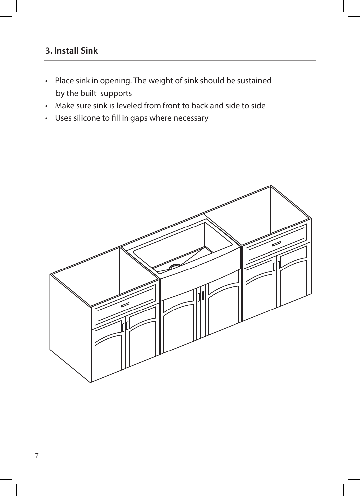## **3. Install Sink**

- Place sink in opening. The weight of sink should be sustained by the built supports
- Make sure sink is leveled from front to back and side to side
- Uses silicone to fill in gaps where necessary

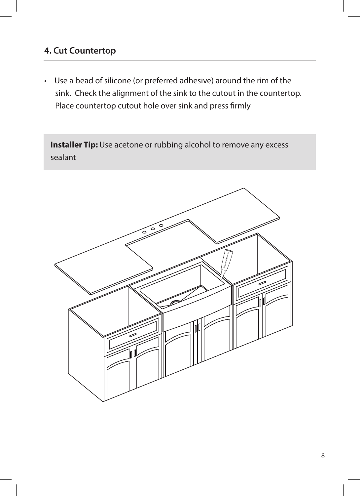### **4. Cut Countertop**

• Use a bead of silicone (or preferred adhesive) around the rim of the sink. Check the alignment of the sink to the cutout in the countertop. Place countertop cutout hole over sink and press firmly

**Installer Tip:** Use acetone or rubbing alcohol to remove any excess sealant

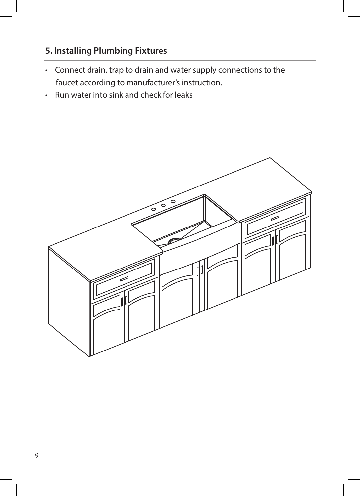# **5. Installing Plumbing Fixtures**

- Connect drain, trap to drain and water supply connections to the faucet according to manufacturer's instruction.
- Run water into sink and check for leaks

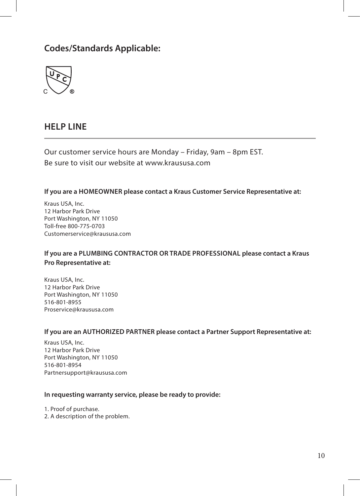# **Codes/Standards Applicable:**



#### **HELP LINE**

Our customer service hours are Monday – Friday, 9am – 8pm EST. Be sure to visit our website at www.kraususa.com

#### **If you are a HOMEOWNER please contact a Kraus Customer Service Representative at:**

Kraus USA, Inc. 12 Harbor Park Drive Port Washington, NY 11050 Toll-free 800-775-0703 Customerservice@kraususa.com

#### **If you are a PLUMBING CONTRACTOR OR TRADE PROFESSIONAL please contact a Kraus Pro Representative at:**

Kraus USA, Inc. 12 Harbor Park Drive Port Washington, NY 11050 516-801-8955 Proservice@kraususa.com

#### **If you are an AUTHORIZED PARTNER please contact a Partner Support Representative at:**

Kraus USA, Inc. 12 Harbor Park Drive Port Washington, NY 11050 516-801-8954 Partnersupport@kraususa.com

#### **In requesting warranty service, please be ready to provide:**

1. Proof of purchase.

2. A description of the problem.